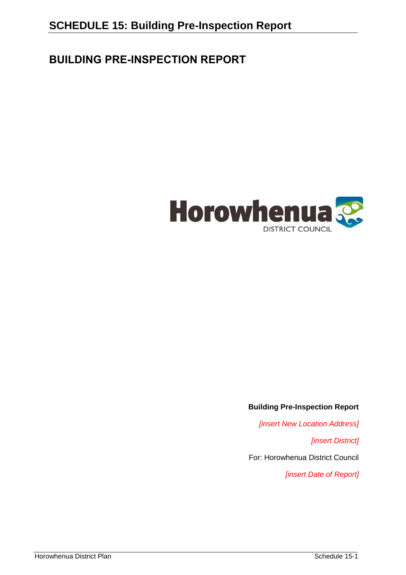# **BUILDING PRE-INSPECTION REPORT**



#### **Building Pre-Inspection Report**

*[insert New Location Address]*

*[insert District]*

For: Horowhenua District Council

*[insert Date of Report]*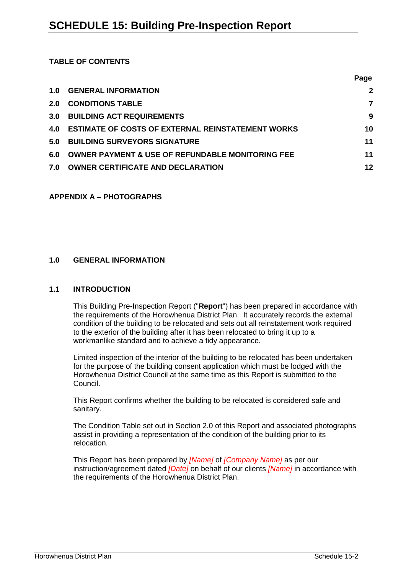#### **TABLE OF CONTENTS**

|     |                                                             | Page |
|-----|-------------------------------------------------------------|------|
| 1.0 | <b>GENERAL INFORMATION</b>                                  | 2    |
| 2.0 | <b>CONDITIONS TABLE</b>                                     |      |
| 3.0 | <b>BUILDING ACT REQUIREMENTS</b>                            | 9    |
| 4.0 | <b>ESTIMATE OF COSTS OF EXTERNAL REINSTATEMENT WORKS</b>    | 10   |
| 5.0 | <b>BUILDING SURVEYORS SIGNATURE</b>                         | 11   |
| 6.0 | <b>OWNER PAYMENT &amp; USE OF REFUNDABLE MONITORING FEE</b> | 11   |
| 7.0 | <b>OWNER CERTIFICATE AND DECLARATION</b>                    | 12   |

## **APPENDIX A – PHOTOGRAPHS**

## **1.0 GENERAL INFORMATION**

#### **1.1 INTRODUCTION**

This Building Pre-Inspection Report ("**Report**") has been prepared in accordance with the requirements of the Horowhenua District Plan. It accurately records the external condition of the building to be relocated and sets out all reinstatement work required to the exterior of the building after it has been relocated to bring it up to a workmanlike standard and to achieve a tidy appearance.

Limited inspection of the interior of the building to be relocated has been undertaken for the purpose of the building consent application which must be lodged with the Horowhenua District Council at the same time as this Report is submitted to the Council.

This Report confirms whether the building to be relocated is considered safe and sanitary.

The Condition Table set out in Section 2.0 of this Report and associated photographs assist in providing a representation of the condition of the building prior to its relocation.

This Report has been prepared by *[Name]* of *[Company Name]* as per our instruction/agreement dated *[Date]* on behalf of our clients *[Name]* in accordance with the requirements of the Horowhenua District Plan.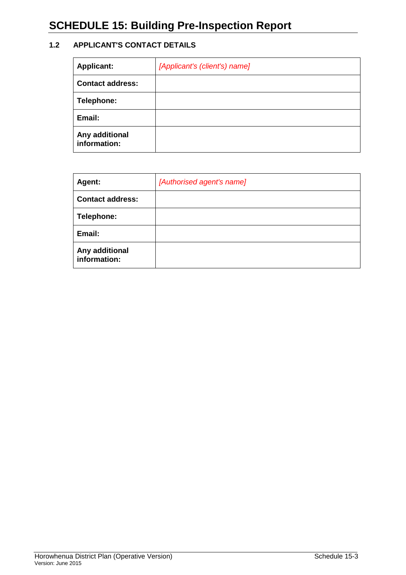# **SCHEDULE 15: Building Pre-Inspection Report**

## **1.2 APPLICANT'S CONTACT DETAILS**

| <b>Applicant:</b>              | [Applicant's (client's) name] |
|--------------------------------|-------------------------------|
| <b>Contact address:</b>        |                               |
| Telephone:                     |                               |
| Email:                         |                               |
| Any additional<br>information: |                               |

| Agent:                         | [Authorised agent's name] |
|--------------------------------|---------------------------|
| <b>Contact address:</b>        |                           |
| Telephone:                     |                           |
| Email:                         |                           |
| Any additional<br>information: |                           |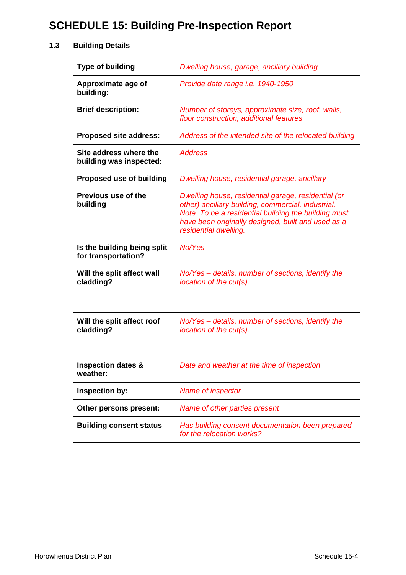## **1.3 Building Details**

| <b>Type of building</b>                            | Dwelling house, garage, ancillary building                                                                                                                                                                                                       |
|----------------------------------------------------|--------------------------------------------------------------------------------------------------------------------------------------------------------------------------------------------------------------------------------------------------|
| Approximate age of<br>building:                    | Provide date range i.e. 1940-1950                                                                                                                                                                                                                |
| <b>Brief description:</b>                          | Number of storeys, approximate size, roof, walls,<br>floor construction, additional features                                                                                                                                                     |
| <b>Proposed site address:</b>                      | Address of the intended site of the relocated building                                                                                                                                                                                           |
| Site address where the<br>building was inspected:  | <b>Address</b>                                                                                                                                                                                                                                   |
| <b>Proposed use of building</b>                    | Dwelling house, residential garage, ancillary                                                                                                                                                                                                    |
| <b>Previous use of the</b><br>building             | Dwelling house, residential garage, residential (or<br>other) ancillary building, commercial, industrial.<br>Note: To be a residential building the building must<br>have been originally designed, built and used as a<br>residential dwelling. |
| Is the building being split<br>for transportation? | No/Yes                                                                                                                                                                                                                                           |
| Will the split affect wall<br>cladding?            | No/Yes – details, number of sections, identify the<br>location of the cut(s).                                                                                                                                                                    |
| Will the split affect roof<br>cladding?            | No/Yes – details, number of sections, identify the<br>location of the cut(s).                                                                                                                                                                    |
| <b>Inspection dates &amp;</b><br>weather:          | Date and weather at the time of inspection                                                                                                                                                                                                       |
| Inspection by:                                     | Name of inspector                                                                                                                                                                                                                                |
| Other persons present:                             | Name of other parties present                                                                                                                                                                                                                    |
| <b>Building consent status</b>                     | Has building consent documentation been prepared<br>for the relocation works?                                                                                                                                                                    |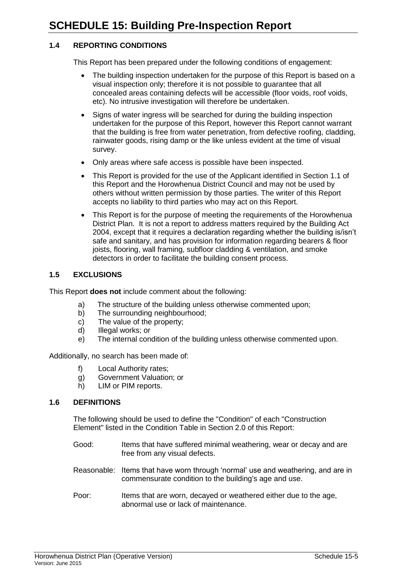#### **1.4 REPORTING CONDITIONS**

This Report has been prepared under the following conditions of engagement:

- The building inspection undertaken for the purpose of this Report is based on a visual inspection only; therefore it is not possible to guarantee that all concealed areas containing defects will be accessible (floor voids, roof voids, etc). No intrusive investigation will therefore be undertaken.
- Signs of water ingress will be searched for during the building inspection undertaken for the purpose of this Report, however this Report cannot warrant that the building is free from water penetration, from defective roofing, cladding, rainwater goods, rising damp or the like unless evident at the time of visual survey.
- Only areas where safe access is possible have been inspected.
- This Report is provided for the use of the Applicant identified in Section 1.1 of this Report and the Horowhenua District Council and may not be used by others without written permission by those parties. The writer of this Report accepts no liability to third parties who may act on this Report.
- This Report is for the purpose of meeting the requirements of the Horowhenua District Plan. It is not a report to address matters required by the Building Act 2004, except that it requires a declaration regarding whether the building is/isn't safe and sanitary, and has provision for information regarding bearers & floor joists, flooring, wall framing, subfloor cladding & ventilation, and smoke detectors in order to facilitate the building consent process.

#### **1.5 EXCLUSIONS**

This Report **does not** include comment about the following:

- a) The structure of the building unless otherwise commented upon;
- b) The surrounding neighbourhood;
- c) The value of the property;
- d) Illegal works; or
- e) The internal condition of the building unless otherwise commented upon.

Additionally, no search has been made of:

- f) Local Authority rates;
- g) Government Valuation; or
- h) LIM or PIM reports.

#### **1.6 DEFINITIONS**

The following should be used to define the "Condition" of each "Construction Element" listed in the Condition Table in Section 2.0 of this Report:

- Good: Items that have suffered minimal weathering, wear or decay and are free from any visual defects.
- Reasonable: Items that have worn through 'normal' use and weathering, and are in commensurate condition to the building's age and use.
- Poor: Items that are worn, decayed or weathered either due to the age, abnormal use or lack of maintenance.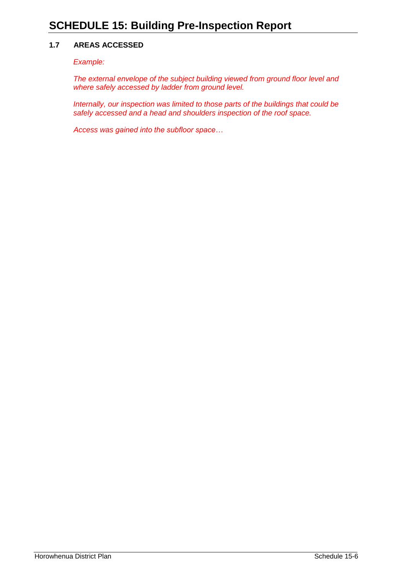#### **1.7 AREAS ACCESSED**

*Example:*

*The external envelope of the subject building viewed from ground floor level and where safely accessed by ladder from ground level.*

*Internally, our inspection was limited to those parts of the buildings that could be safely accessed and a head and shoulders inspection of the roof space.*

*Access was gained into the subfloor space…*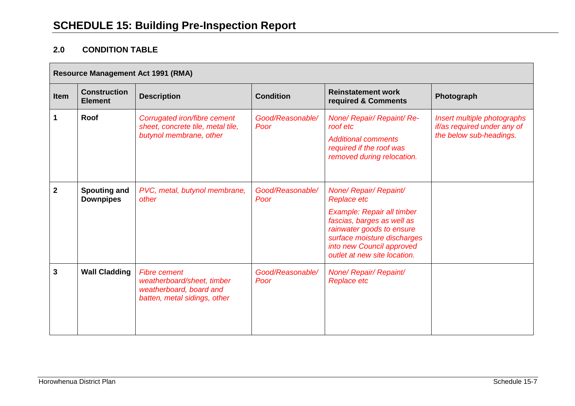## **2.0 CONDITION TABLE**

| <b>Resource Management Act 1991 (RMA)</b> |                                         |                                                                                                              |                          |                                                                                                                                                                                                                                   |                                                                                       |
|-------------------------------------------|-----------------------------------------|--------------------------------------------------------------------------------------------------------------|--------------------------|-----------------------------------------------------------------------------------------------------------------------------------------------------------------------------------------------------------------------------------|---------------------------------------------------------------------------------------|
| Item                                      | <b>Construction</b><br><b>Element</b>   | <b>Description</b>                                                                                           | <b>Condition</b>         | <b>Reinstatement work</b><br>required & Comments                                                                                                                                                                                  | Photograph                                                                            |
| $\mathbf{1}$                              | Roof                                    | Corrugated iron/fibre cement<br>sheet, concrete tile, metal tile,<br>butynol membrane, other                 | Good/Reasonable/<br>Poor | None/ Repair/ Repaint/ Re-<br>roof etc<br><b>Additional comments</b><br>required if the roof was<br>removed during relocation.                                                                                                    | Insert multiple photographs<br>if/as required under any of<br>the below sub-headings. |
| $\mathbf 2$                               | <b>Spouting and</b><br><b>Downpipes</b> | PVC, metal, butynol membrane,<br>other                                                                       | Good/Reasonable/<br>Poor | None/ Repair/ Repaint/<br><b>Replace etc</b><br>Example: Repair all timber<br>fascias, barges as well as<br>rainwater goods to ensure<br>surface moisture discharges<br>into new Council approved<br>outlet at new site location. |                                                                                       |
| 3                                         | <b>Wall Cladding</b>                    | <b>Fibre cement</b><br>weatherboard/sheet, timber<br>weatherboard, board and<br>batten, metal sidings, other | Good/Reasonable/<br>Poor | None/ Repair/ Repaint/<br><b>Replace etc</b>                                                                                                                                                                                      |                                                                                       |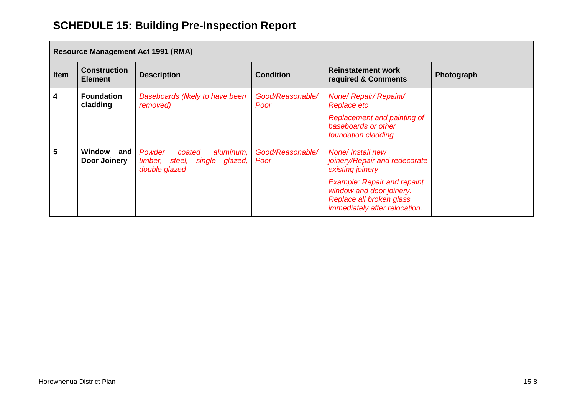# **SCHEDULE 15: Building Pre-Inspection Report**

| <b>Resource Management Act 1991 (RMA)</b> |                                       |                                                                                 |                          |                                                                                                                             |            |
|-------------------------------------------|---------------------------------------|---------------------------------------------------------------------------------|--------------------------|-----------------------------------------------------------------------------------------------------------------------------|------------|
| <b>Item</b>                               | <b>Construction</b><br><b>Element</b> | <b>Description</b>                                                              | <b>Condition</b>         | <b>Reinstatement work</b><br>required & Comments                                                                            | Photograph |
| 4                                         | <b>Foundation</b><br>cladding         | <b>Baseboards (likely to have been</b><br>removed)                              | Good/Reasonable/<br>Poor | None/ Repair/ Repaint/<br><b>Replace etc</b>                                                                                |            |
|                                           |                                       |                                                                                 |                          | Replacement and painting of<br>baseboards or other<br>foundation cladding                                                   |            |
| 5                                         | Window<br>and<br>Door Joinery         | Powder<br>aluminum,<br>coated<br>timber, steel, single glazed,<br>double glazed | Good/Reasonable/<br>Poor | <b>None/Install new</b><br>joinery/Repair and redecorate<br>existing joinery                                                |            |
|                                           |                                       |                                                                                 |                          | <b>Example: Repair and repaint</b><br>window and door joinery.<br>Replace all broken glass<br>immediately after relocation. |            |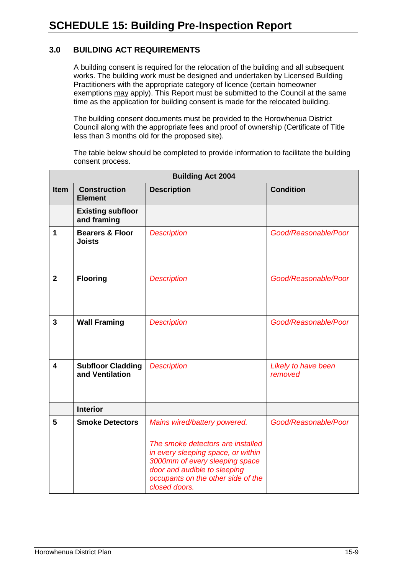## **3.0 BUILDING ACT REQUIREMENTS**

A building consent is required for the relocation of the building and all subsequent works. The building work must be designed and undertaken by Licensed Building Practitioners with the appropriate category of licence (certain homeowner exemptions may apply). This Report must be submitted to the Council at the same time as the application for building consent is made for the relocated building.

The building consent documents must be provided to the Horowhenua District Council along with the appropriate fees and proof of ownership (Certificate of Title less than 3 months old for the proposed site).

The table below should be completed to provide information to facilitate the building consent process.

|                | <b>Building Act 2004</b>                    |                                                                                                                                                                                                                                  |                                |  |  |
|----------------|---------------------------------------------|----------------------------------------------------------------------------------------------------------------------------------------------------------------------------------------------------------------------------------|--------------------------------|--|--|
| <b>Item</b>    | <b>Construction</b><br><b>Element</b>       | <b>Description</b>                                                                                                                                                                                                               | <b>Condition</b>               |  |  |
|                | <b>Existing subfloor</b><br>and framing     |                                                                                                                                                                                                                                  |                                |  |  |
| 1              | <b>Bearers &amp; Floor</b><br><b>Joists</b> | <b>Description</b>                                                                                                                                                                                                               | Good/Reasonable/Poor           |  |  |
| $\overline{2}$ | <b>Flooring</b>                             | <b>Description</b>                                                                                                                                                                                                               | Good/Reasonable/Poor           |  |  |
| 3              | <b>Wall Framing</b>                         | <b>Description</b>                                                                                                                                                                                                               | Good/Reasonable/Poor           |  |  |
| 4              | <b>Subfloor Cladding</b><br>and Ventilation | <b>Description</b>                                                                                                                                                                                                               | Likely to have been<br>removed |  |  |
|                | <b>Interior</b>                             |                                                                                                                                                                                                                                  |                                |  |  |
| 5              | <b>Smoke Detectors</b>                      | Mains wired/battery powered.<br>The smoke detectors are installed<br>in every sleeping space, or within<br>3000mm of every sleeping space<br>door and audible to sleeping<br>occupants on the other side of the<br>closed doors. | Good/Reasonable/Poor           |  |  |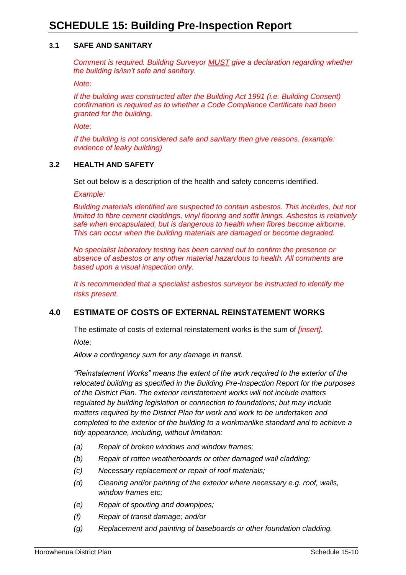#### **3.1 SAFE AND SANITARY**

*Comment is required. Building Surveyor MUST give a declaration regarding whether the building is/isn't safe and sanitary.* 

*Note:*

*If the building was constructed after the Building Act 1991 (i.e. Building Consent) confirmation is required as to whether a Code Compliance Certificate had been granted for the building.*

*Note:*

*If the building is not considered safe and sanitary then give reasons. (example: evidence of leaky building)*

#### **3.2 HEALTH AND SAFETY**

Set out below is a description of the health and safety concerns identified.

*Example:*

*Building materials identified are suspected to contain asbestos. This includes, but not limited to fibre cement claddings, vinyl flooring and soffit linings. Asbestos is relatively safe when encapsulated, but is dangerous to health when fibres become airborne. This can occur when the building materials are damaged or become degraded.* 

*No specialist laboratory testing has been carried out to confirm the presence or absence of asbestos or any other material hazardous to health. All comments are based upon a visual inspection only.* 

*It is recommended that a specialist asbestos surveyor be instructed to identify the risks present.*

### **4.0 ESTIMATE OF COSTS OF EXTERNAL REINSTATEMENT WORKS**

The estimate of costs of external reinstatement works is the sum of *[insert]*.

*Note:*

*Allow a contingency sum for any damage in transit.*

*"Reinstatement Works" means the extent of the work required to the exterior of the relocated building as specified in the Building Pre-Inspection Report for the purposes of the District Plan. The exterior reinstatement works will not include matters regulated by building legislation or connection to foundations; but may include matters required by the District Plan for work and work to be undertaken and completed to the exterior of the building to a workmanlike standard and to achieve a tidy appearance, including, without limitation:*

- *(a) Repair of broken windows and window frames;*
- *(b) Repair of rotten weatherboards or other damaged wall cladding;*
- *(c) Necessary replacement or repair of roof materials;*
- *(d) Cleaning and/or painting of the exterior where necessary e.g. roof, walls, window frames etc;*
- *(e) Repair of spouting and downpipes;*
- *(f) Repair of transit damage; and/or*
- *(g) Replacement and painting of baseboards or other foundation cladding.*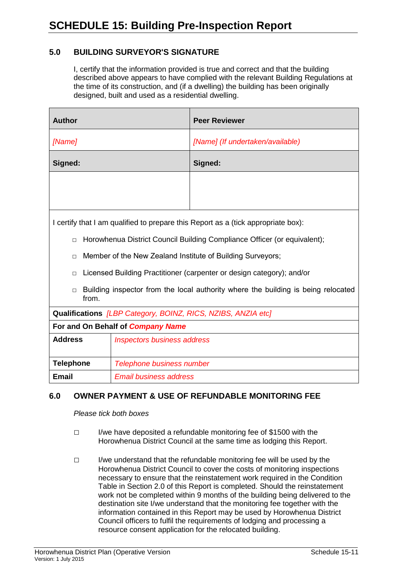## **5.0 BUILDING SURVEYOR'S SIGNATURE**

I, certify that the information provided is true and correct and that the building described above appears to have complied with the relevant Building Regulations at the time of its construction, and (if a dwelling) the building has been originally designed, built and used as a residential dwelling.

| <b>Author</b>                                                                                        |  | <b>Peer Reviewer</b>                                                              |
|------------------------------------------------------------------------------------------------------|--|-----------------------------------------------------------------------------------|
| [Name]                                                                                               |  | [Name] (If undertaken/available)                                                  |
| Signed:                                                                                              |  | Signed:                                                                           |
|                                                                                                      |  |                                                                                   |
|                                                                                                      |  |                                                                                   |
|                                                                                                      |  | I certify that I am qualified to prepare this Report as a (tick appropriate box): |
| $\Box$                                                                                               |  | Horowhenua District Council Building Compliance Officer (or equivalent);          |
| Member of the New Zealand Institute of Building Surveyors;<br>$\Box$                                 |  |                                                                                   |
| $\Box$                                                                                               |  | Licensed Building Practitioner (carpenter or design category); and/or             |
| Building inspector from the local authority where the building is being relocated<br>$\Box$<br>from. |  |                                                                                   |
| Qualifications [LBP Category, BOINZ, RICS, NZIBS, ANZIA etc]                                         |  |                                                                                   |
| For and On Behalf of Company Name                                                                    |  |                                                                                   |
| <b>Address</b><br><b>Inspectors business address</b>                                                 |  |                                                                                   |
| <b>Telephone</b><br>Telephone business number                                                        |  |                                                                                   |
| <b>Email</b><br><b>Email business address</b>                                                        |  |                                                                                   |

## **6.0 OWNER PAYMENT & USE OF REFUNDABLE MONITORING FEE**

*Please tick both boxes*

- □ I/we have deposited a refundable monitoring fee of \$1500 with the Horowhenua District Council at the same time as lodging this Report.
- $\Box$  I/we understand that the refundable monitoring fee will be used by the Horowhenua District Council to cover the costs of monitoring inspections necessary to ensure that the reinstatement work required in the Condition Table in Section 2.0 of this Report is completed. Should the reinstatement work not be completed within 9 months of the building being delivered to the destination site I/we understand that the monitoring fee together with the information contained in this Report may be used by Horowhenua District Council officers to fulfil the requirements of lodging and processing a resource consent application for the relocated building.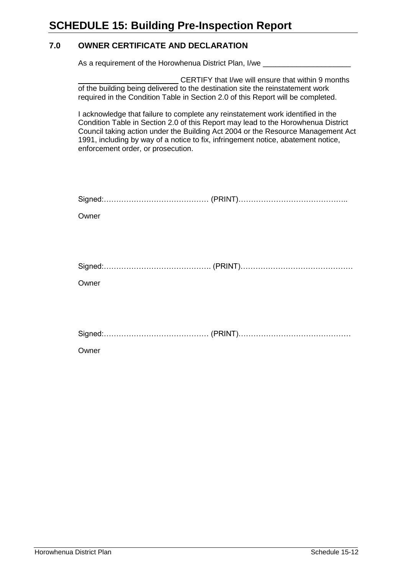## **7.0 OWNER CERTIFICATE AND DECLARATION**

As a requirement of the Horowhenua District Plan, I/we \_\_\_\_\_\_\_\_\_\_\_\_\_\_\_\_\_\_\_\_\_\_\_\_\_

CERTIFY that I/we will ensure that within 9 months of the building being delivered to the destination site the reinstatement work required in the Condition Table in Section 2.0 of this Report will be completed.

I acknowledge that failure to complete any reinstatement work identified in the Condition Table in Section 2.0 of this Report may lead to the Horowhenua District Council taking action under the Building Act 2004 or the Resource Management Act 1991, including by way of a notice to fix, infringement notice, abatement notice, enforcement order, or prosecution.

| Owner |  |
|-------|--|
|       |  |
|       |  |
|       |  |
| Owner |  |
|       |  |
|       |  |
|       |  |
| Owner |  |
|       |  |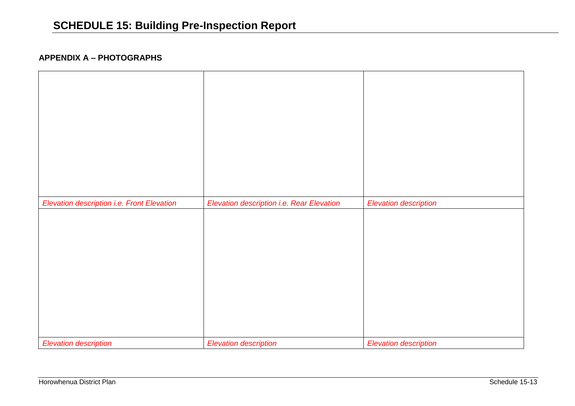## **APPENDIX A – PHOTOGRAPHS**

| Elevation description i.e. Front Elevation | Elevation description i.e. Rear Elevation | <b>Elevation description</b> |
|--------------------------------------------|-------------------------------------------|------------------------------|
|                                            |                                           |                              |
| <b>Elevation description</b>               | <b>Elevation description</b>              | <b>Elevation description</b> |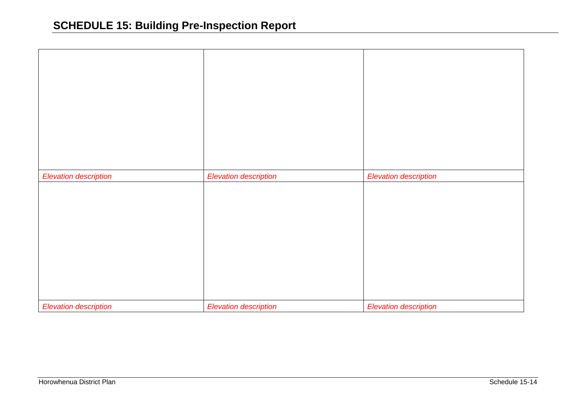| <b>Elevation description</b> | <b>Elevation description</b> | <b>Elevation description</b> |
|------------------------------|------------------------------|------------------------------|
|                              |                              |                              |
|                              |                              |                              |
|                              |                              |                              |
| <b>Elevation description</b> | <b>Elevation description</b> | <b>Elevation description</b> |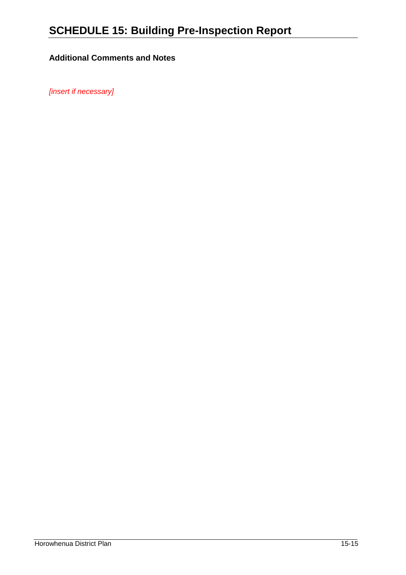## **Additional Comments and Notes**

*[insert if necessary]*